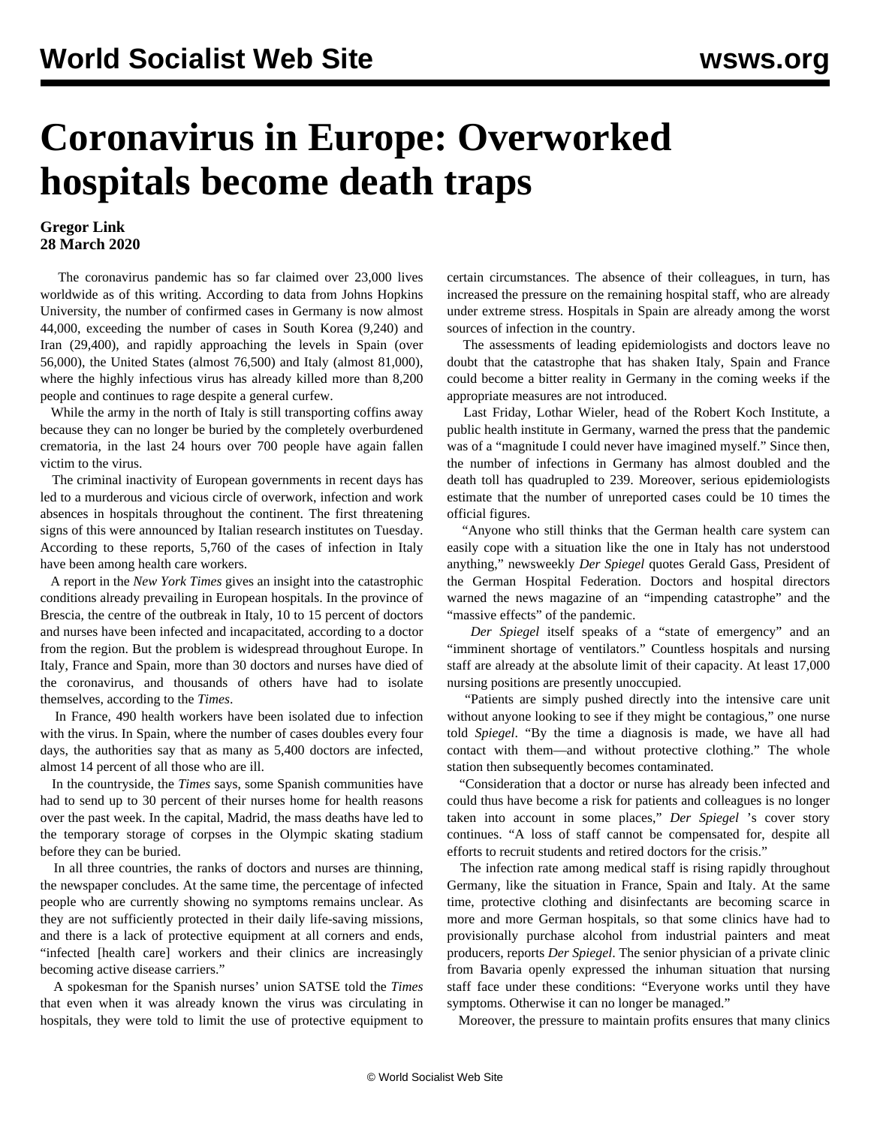## **Coronavirus in Europe: Overworked hospitals become death traps**

## **Gregor Link 28 March 2020**

 The coronavirus pandemic has so far claimed over 23,000 lives worldwide as of this writing. According to data from Johns Hopkins University, the number of confirmed cases in Germany is now almost 44,000, exceeding the number of cases in South Korea (9,240) and Iran (29,400), and rapidly approaching the levels in Spain (over 56,000), the United States (almost 76,500) and Italy (almost 81,000), where the highly infectious virus has already killed more than 8,200 people and continues to rage despite a general curfew.

 While the army in the north of Italy is still transporting coffins away because they can no longer be buried by the completely overburdened crematoria, in the last 24 hours over 700 people have again fallen victim to the virus.

 The criminal inactivity of European governments in recent days has led to a murderous and vicious circle of overwork, infection and work absences in hospitals throughout the continent. The first threatening signs of this were announced by Italian research institutes on Tuesday. According to these reports, 5,760 of the cases of infection in Italy have been among health care workers.

 A report in the *New York Times* gives an insight into the catastrophic conditions already prevailing in European hospitals. In the province of Brescia, the centre of the outbreak in Italy, 10 to 15 percent of doctors and nurses have been infected and incapacitated, according to a doctor from the region. But the problem is widespread throughout Europe. In Italy, France and Spain, more than 30 doctors and nurses have died of the coronavirus, and thousands of others have had to isolate themselves, according to the *Times*.

 In France, 490 health workers have been isolated due to infection with the virus. In Spain, where the number of cases doubles every four days, the authorities say that as many as 5,400 doctors are infected, almost 14 percent of all those who are ill.

 In the countryside, the *Times* says, some Spanish communities have had to send up to 30 percent of their nurses home for health reasons over the past week. In the capital, Madrid, the mass deaths have led to the temporary storage of corpses in the Olympic skating stadium before they can be buried.

 In all three countries, the ranks of doctors and nurses are thinning, the newspaper concludes. At the same time, the percentage of infected people who are currently showing no symptoms remains unclear. As they are not sufficiently protected in their daily life-saving missions, and there is a lack of protective equipment at all corners and ends, "infected [health care] workers and their clinics are increasingly becoming active disease carriers."

 A spokesman for the Spanish nurses' union SATSE told the *Times* that even when it was already known the virus was circulating in hospitals, they were told to limit the use of protective equipment to certain circumstances. The absence of their colleagues, in turn, has increased the pressure on the remaining hospital staff, who are already under extreme stress. Hospitals in Spain are already among the worst sources of infection in the country.

 The assessments of leading epidemiologists and doctors leave no doubt that the catastrophe that has shaken Italy, Spain and France could become a bitter reality in Germany in the coming weeks if the appropriate measures are not introduced.

 Last Friday, Lothar Wieler, head of the Robert Koch Institute, a public health institute in Germany, warned the press that the pandemic was of a "magnitude I could never have imagined myself." Since then, the number of infections in Germany has almost doubled and the death toll has quadrupled to 239. Moreover, serious epidemiologists estimate that the number of unreported cases could be 10 times the official figures.

 "Anyone who still thinks that the German health care system can easily cope with a situation like the one in Italy has not understood anything," newsweekly *Der Spiegel* quotes Gerald Gass, President of the German Hospital Federation. Doctors and hospital directors warned the news magazine of an "impending catastrophe" and the "massive effects" of the pandemic.

 *Der Spiegel* itself speaks of a "state of emergency" and an "imminent shortage of ventilators." Countless hospitals and nursing staff are already at the absolute limit of their capacity. At least 17,000 nursing positions are presently unoccupied.

 "Patients are simply pushed directly into the intensive care unit without anyone looking to see if they might be contagious," one nurse told *Spiegel*. "By the time a diagnosis is made, we have all had contact with them—and without protective clothing." The whole station then subsequently becomes contaminated.

 "Consideration that a doctor or nurse has already been infected and could thus have become a risk for patients and colleagues is no longer taken into account in some places," *Der Spiegel* 's cover story continues. "A loss of staff cannot be compensated for, despite all efforts to recruit students and retired doctors for the crisis."

 The infection rate among medical staff is rising rapidly throughout Germany, like the situation in France, Spain and Italy. At the same time, protective clothing and disinfectants are becoming scarce in more and more German hospitals, so that some clinics have had to provisionally purchase alcohol from industrial painters and meat producers, reports *Der Spiegel*. The senior physician of a private clinic from Bavaria openly expressed the inhuman situation that nursing staff face under these conditions: "Everyone works until they have symptoms. Otherwise it can no longer be managed."

Moreover, the pressure to maintain profits ensures that many clinics